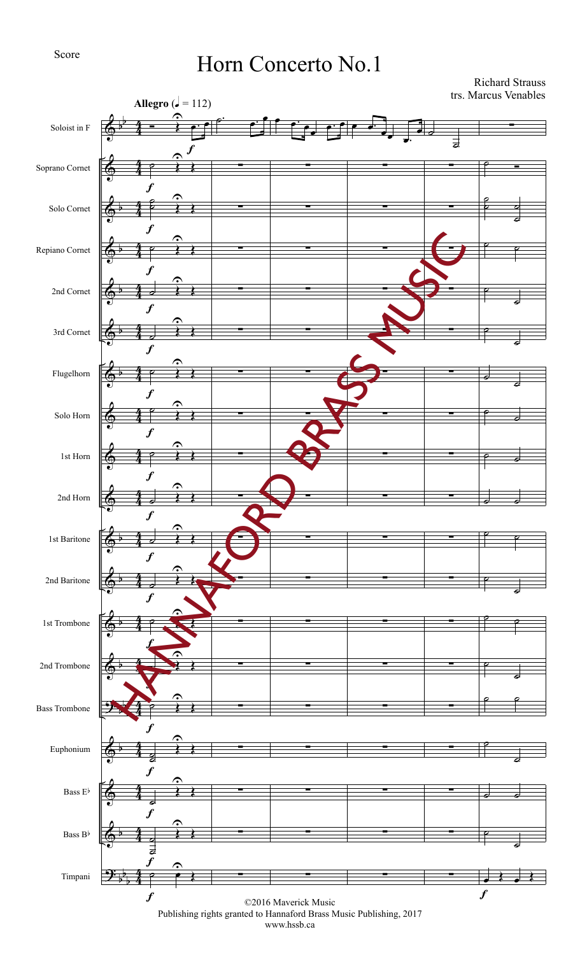#### Score

# Horn Concerto No.1

Richard Strauss trs. Marcus Venables

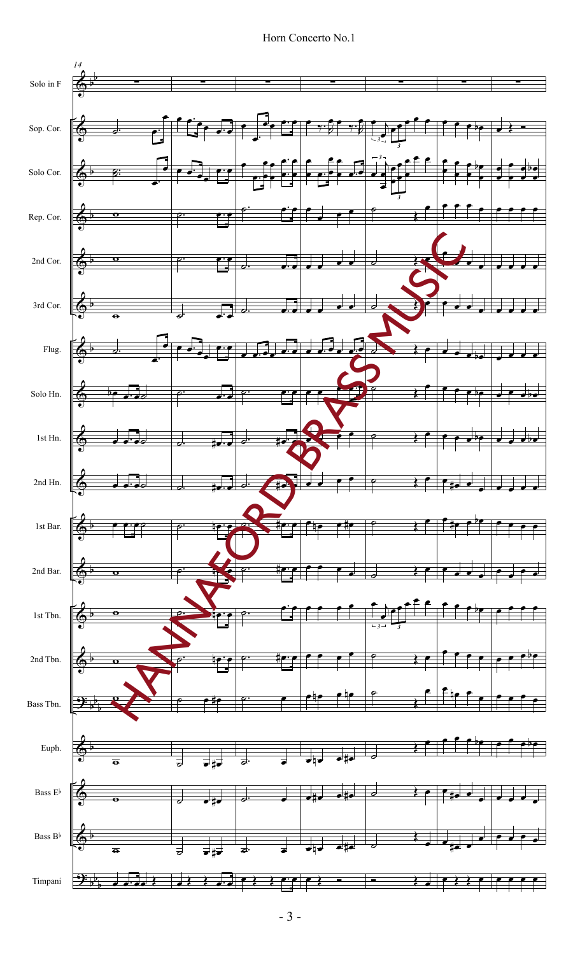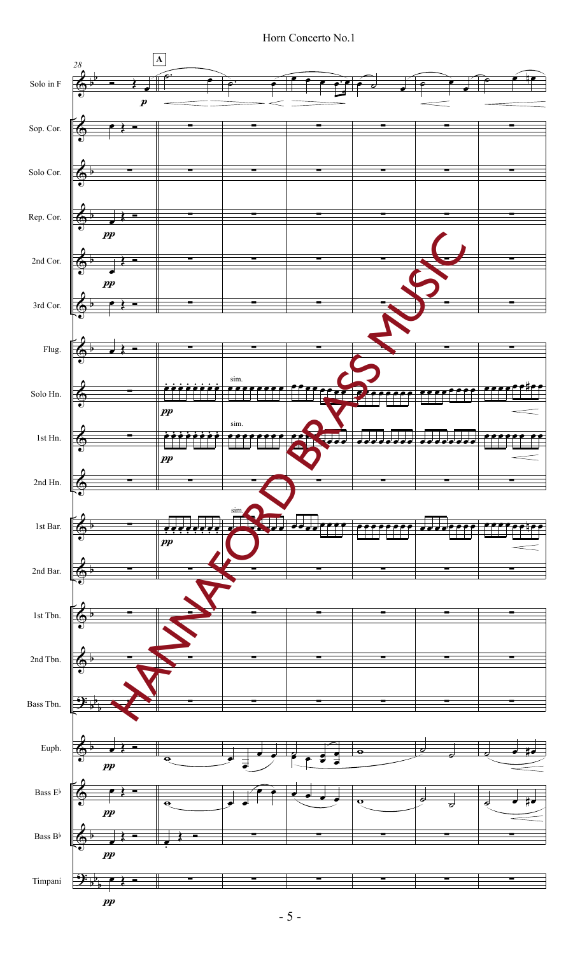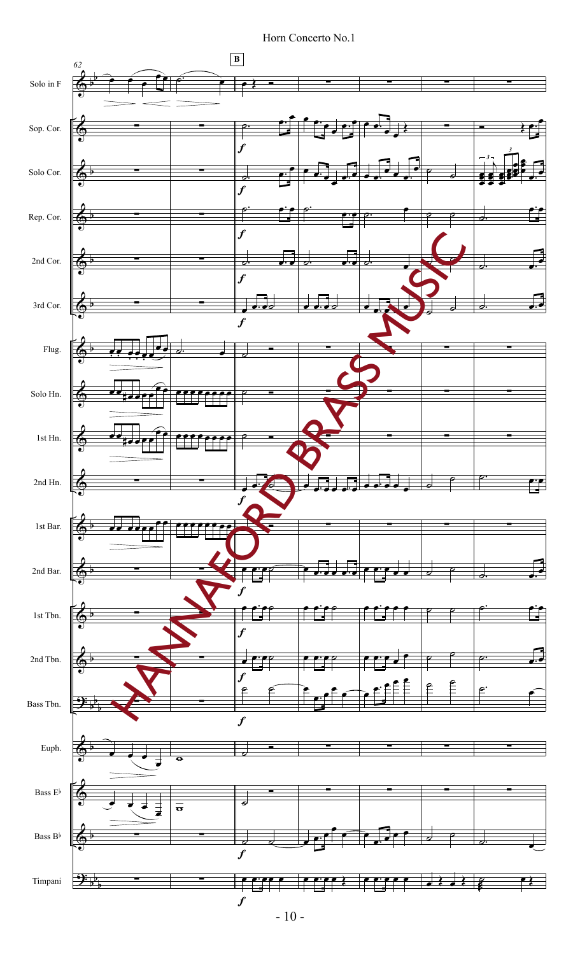Horn Concerto No.1

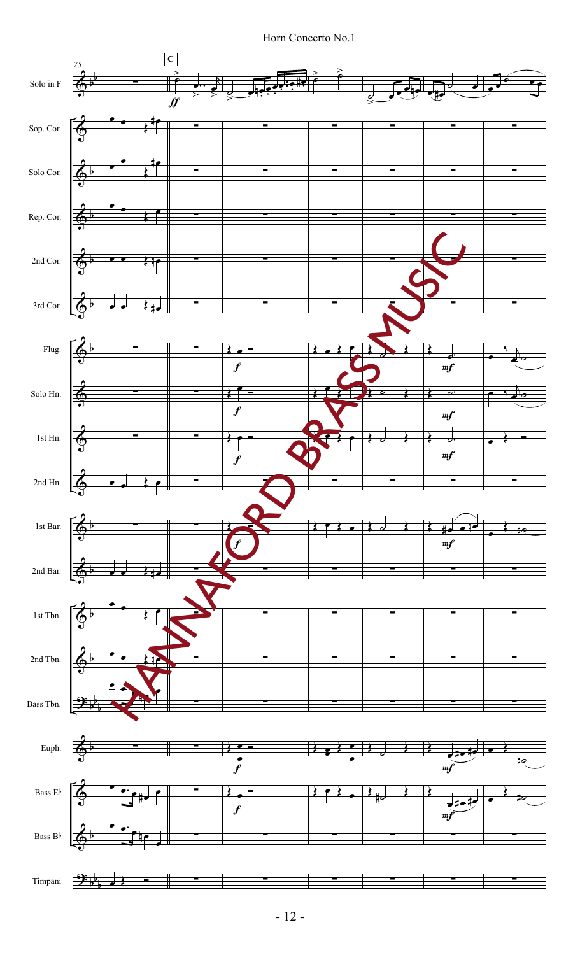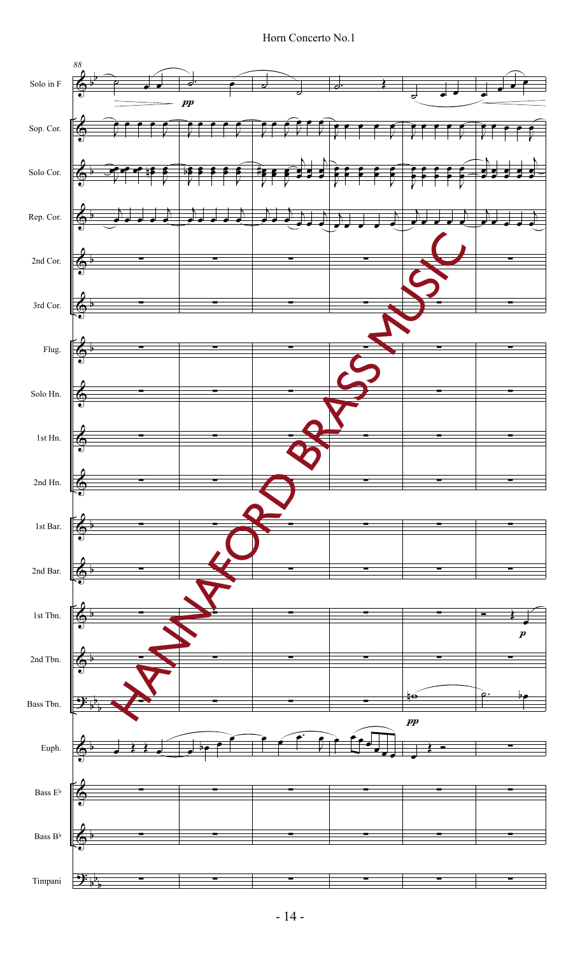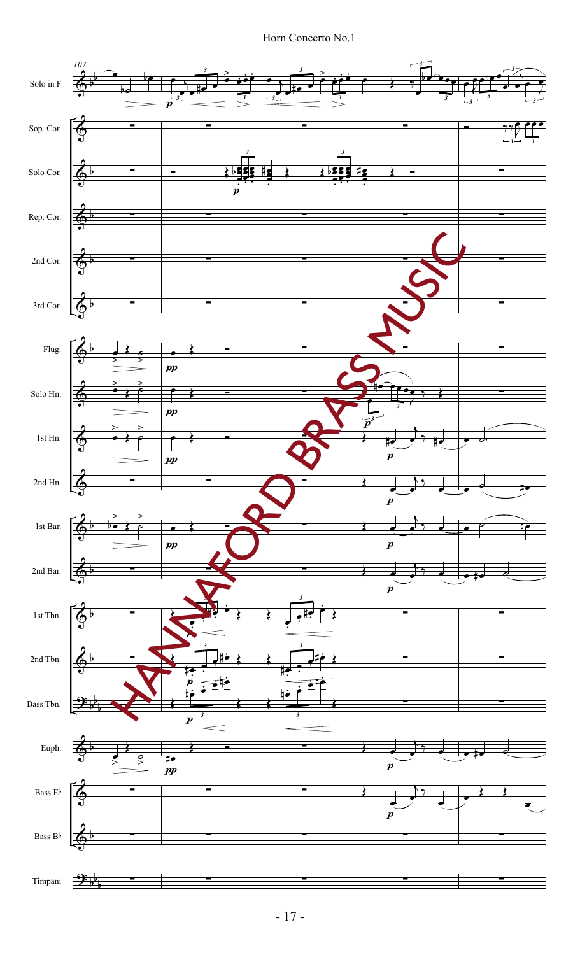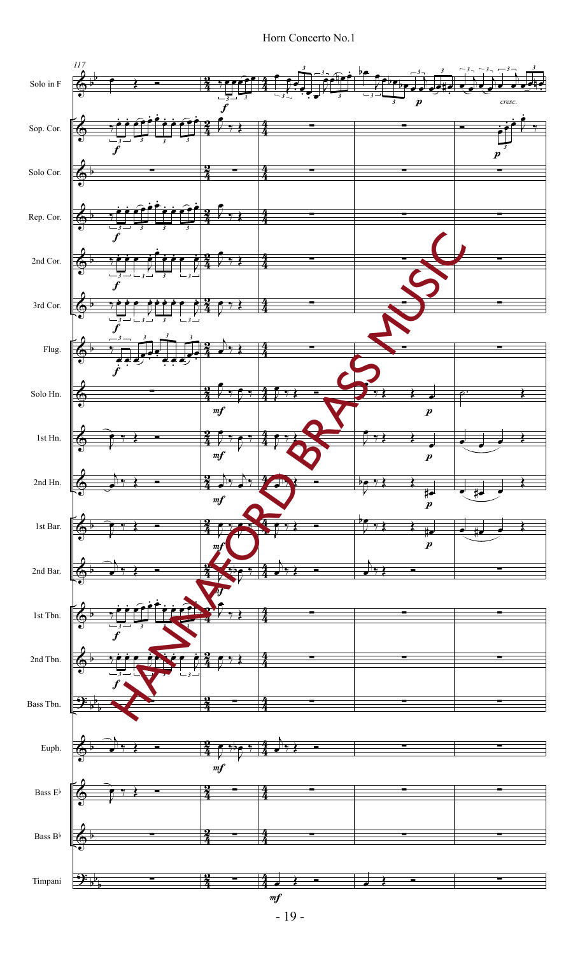

- 19 -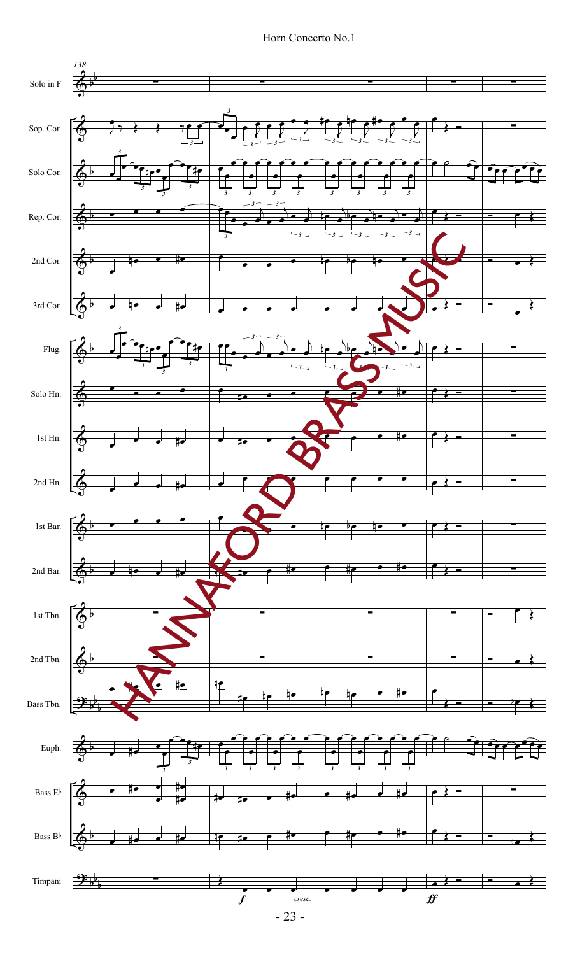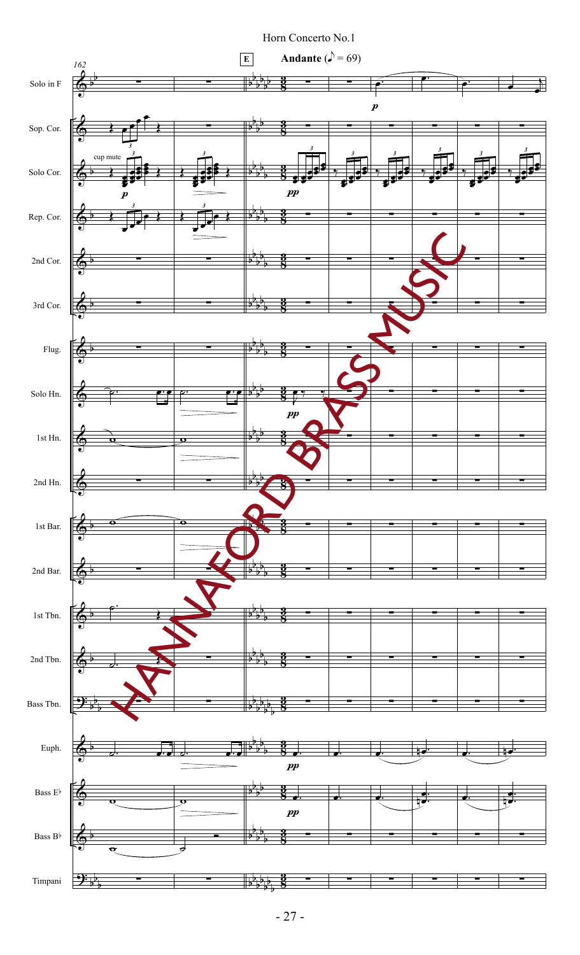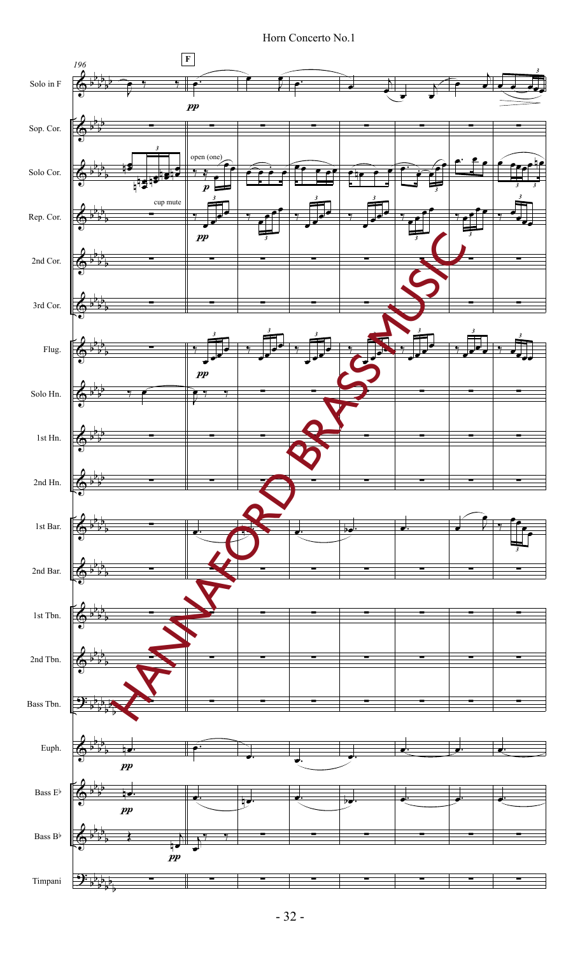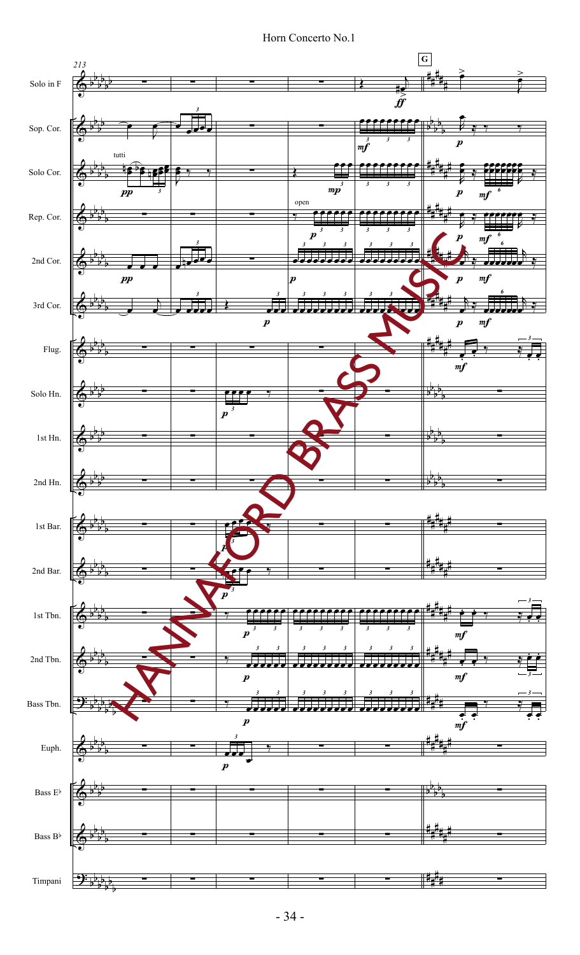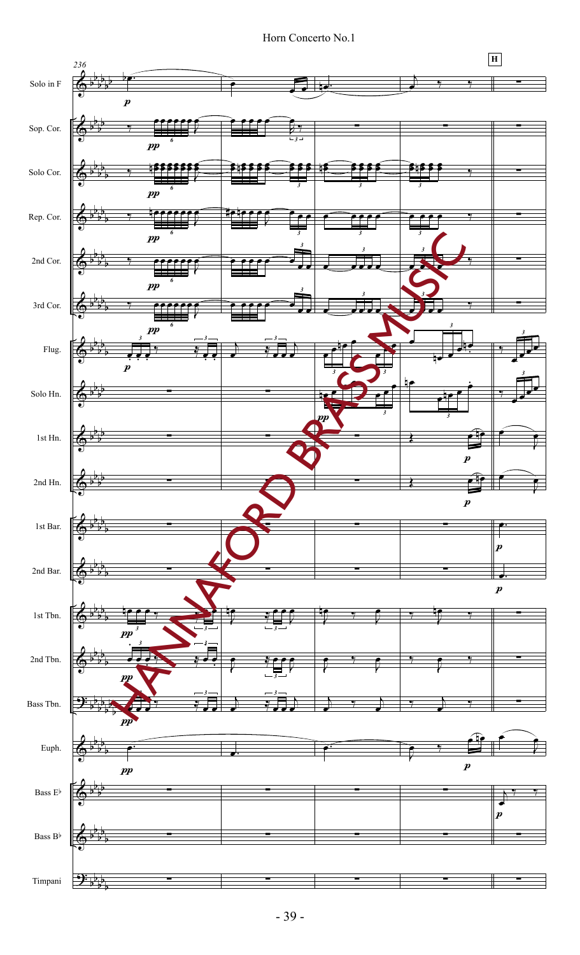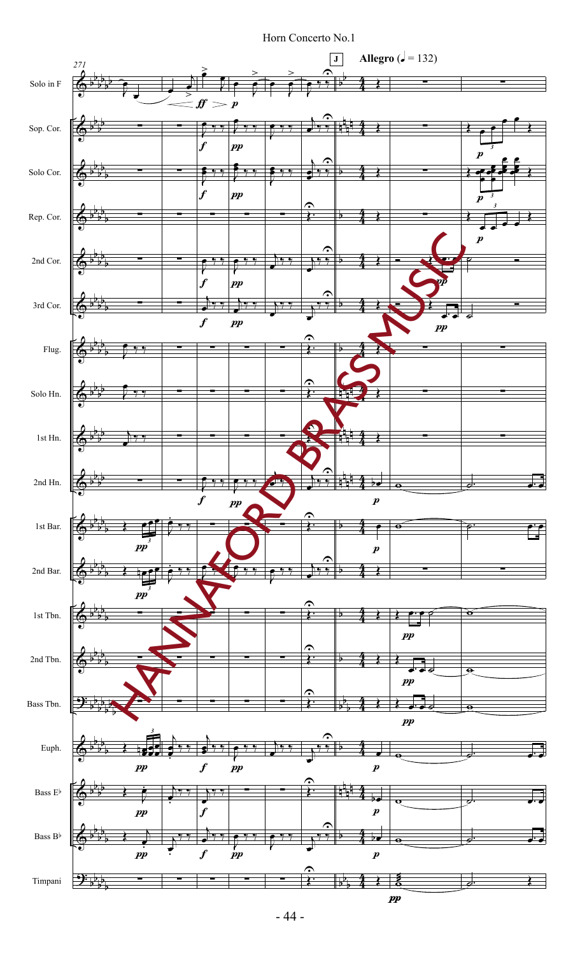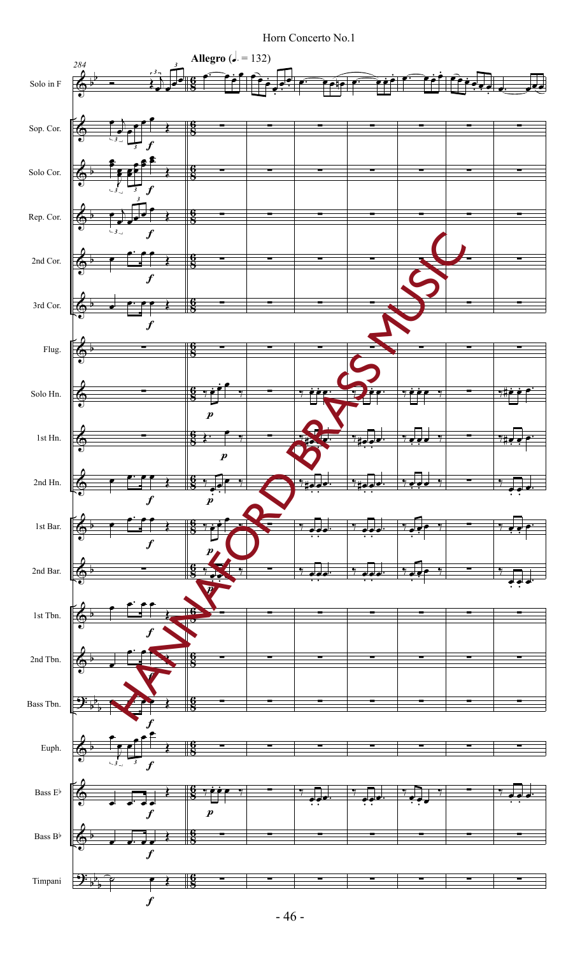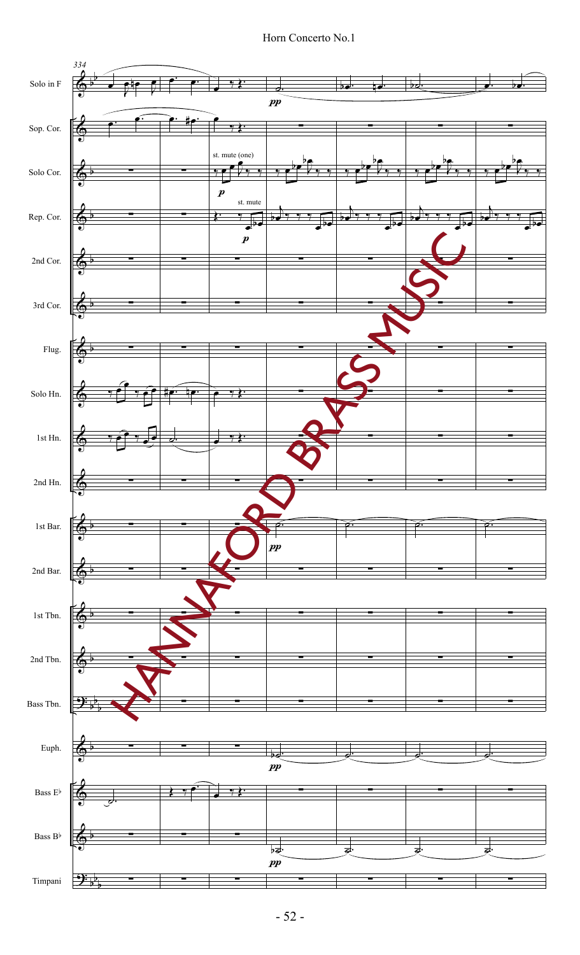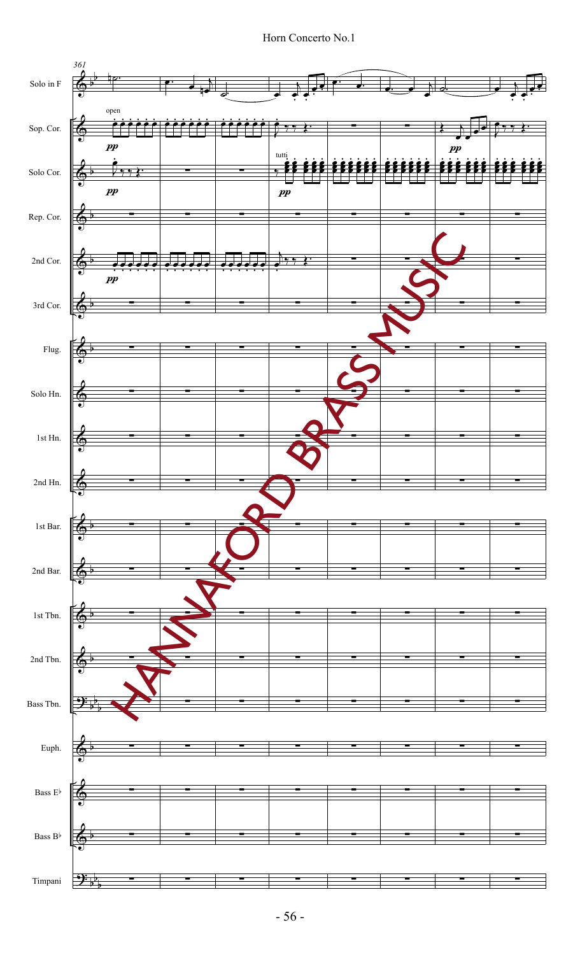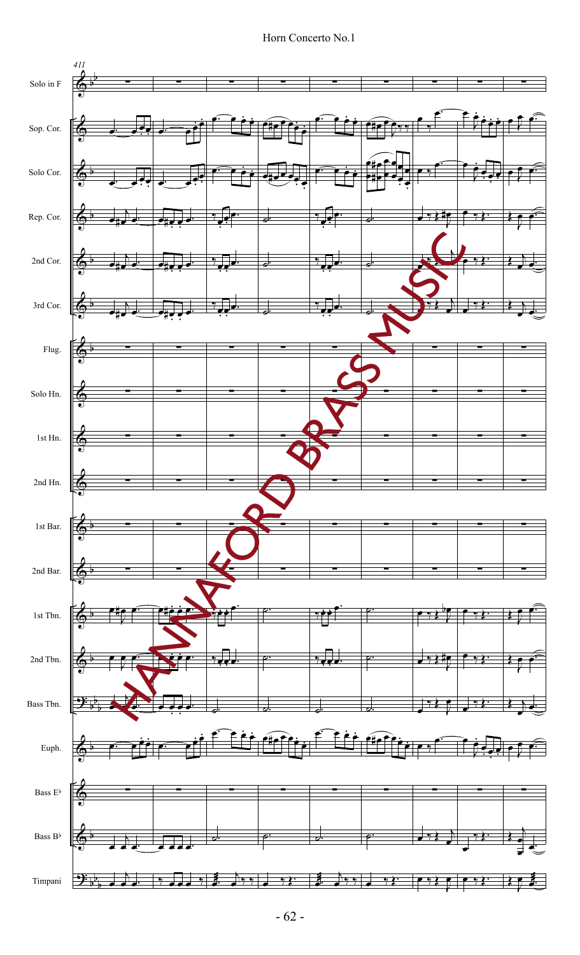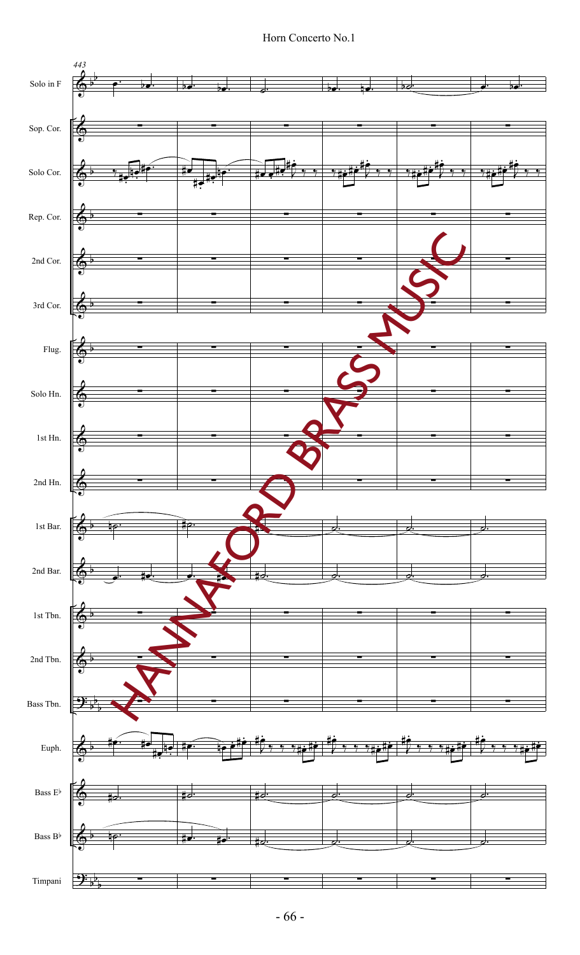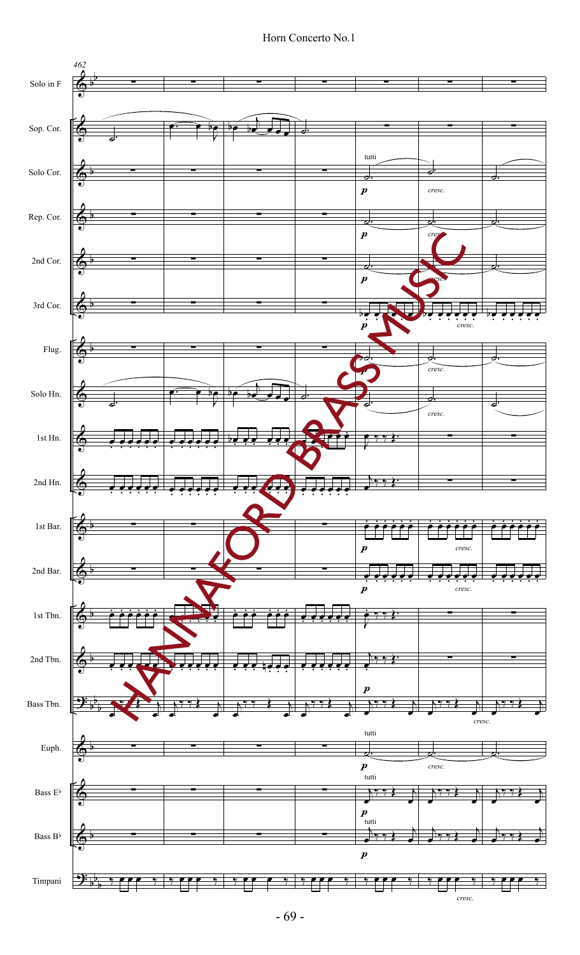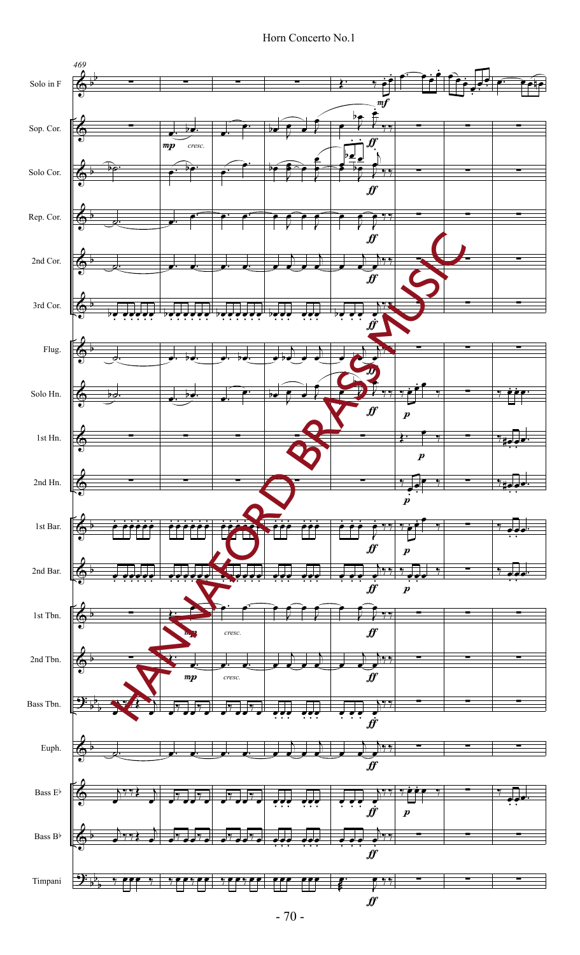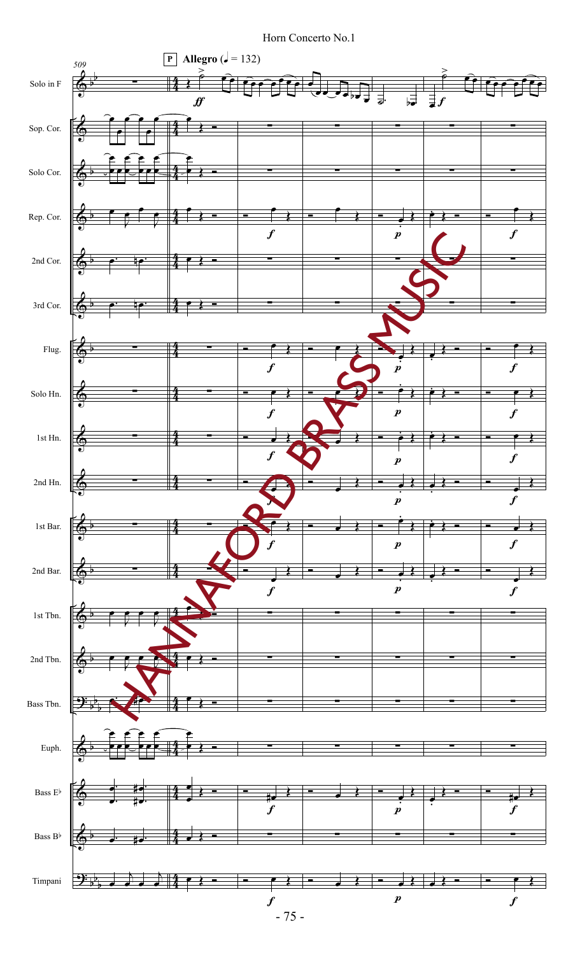Horn Concerto No.1

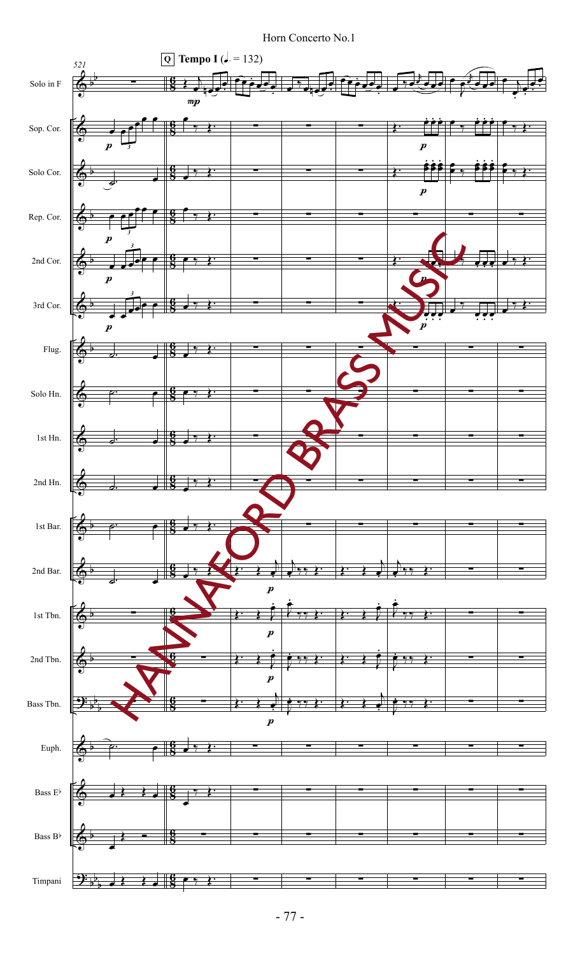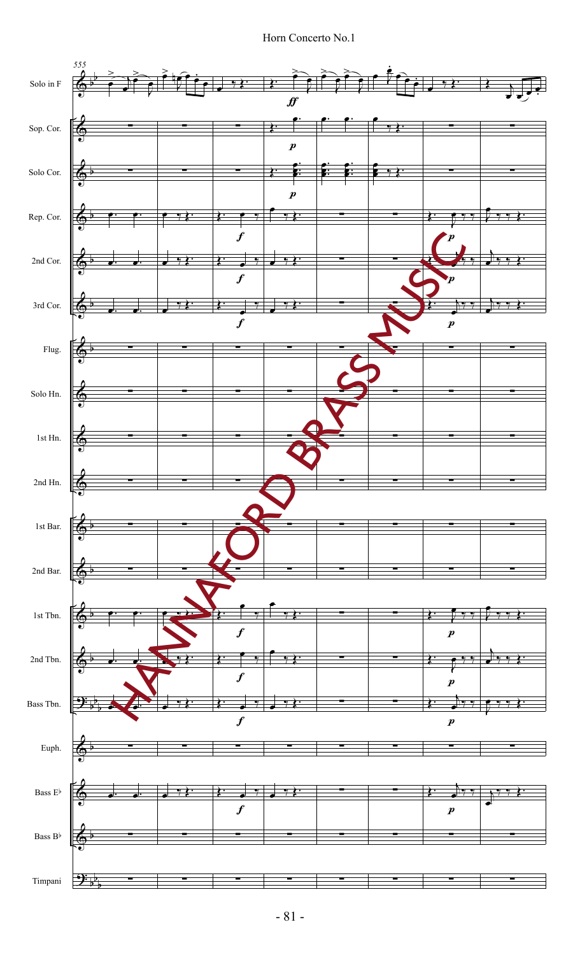